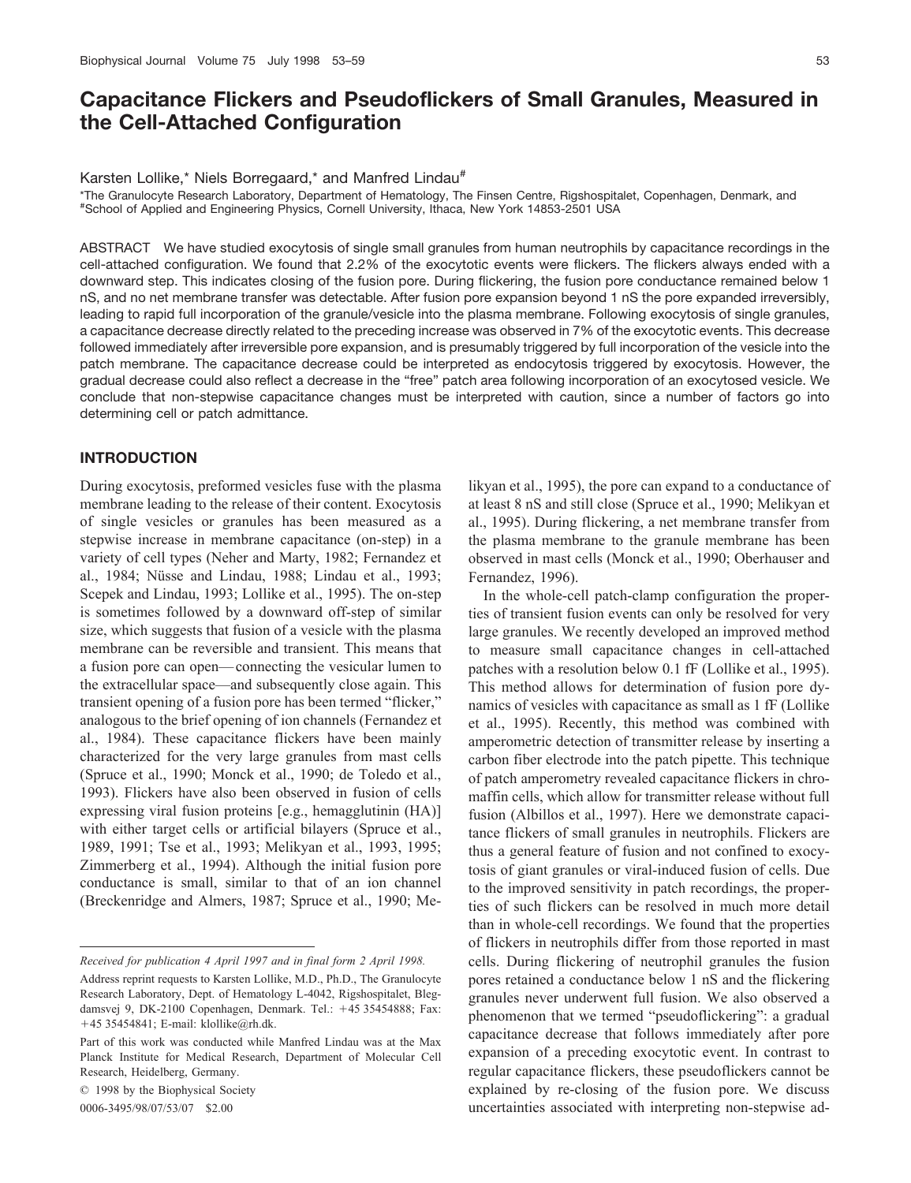# **Capacitance Flickers and Pseudoflickers of Small Granules, Measured in the Cell-Attached Configuration**

Karsten Lollike,\* Niels Borregaard,\* and Manfred Lindau#

\*The Granulocyte Research Laboratory, Department of Hematology, The Finsen Centre, Rigshospitalet, Copenhagen, Denmark, and # School of Applied and Engineering Physics, Cornell University, Ithaca, New York 14853-2501 USA

ABSTRACT We have studied exocytosis of single small granules from human neutrophils by capacitance recordings in the cell-attached configuration. We found that 2.2% of the exocytotic events were flickers. The flickers always ended with a downward step. This indicates closing of the fusion pore. During flickering, the fusion pore conductance remained below 1 nS, and no net membrane transfer was detectable. After fusion pore expansion beyond 1 nS the pore expanded irreversibly, leading to rapid full incorporation of the granule/vesicle into the plasma membrane. Following exocytosis of single granules, a capacitance decrease directly related to the preceding increase was observed in 7% of the exocytotic events. This decrease followed immediately after irreversible pore expansion, and is presumably triggered by full incorporation of the vesicle into the patch membrane. The capacitance decrease could be interpreted as endocytosis triggered by exocytosis. However, the gradual decrease could also reflect a decrease in the "free" patch area following incorporation of an exocytosed vesicle. We conclude that non-stepwise capacitance changes must be interpreted with caution, since a number of factors go into determining cell or patch admittance.

# **INTRODUCTION**

During exocytosis, preformed vesicles fuse with the plasma membrane leading to the release of their content. Exocytosis of single vesicles or granules has been measured as a stepwise increase in membrane capacitance (on-step) in a variety of cell types (Neher and Marty, 1982; Fernandez et al., 1984; Nüsse and Lindau, 1988; Lindau et al., 1993; Scepek and Lindau, 1993; Lollike et al., 1995). The on-step is sometimes followed by a downward off-step of similar size, which suggests that fusion of a vesicle with the plasma membrane can be reversible and transient. This means that a fusion pore can open— connecting the vesicular lumen to the extracellular space—and subsequently close again. This transient opening of a fusion pore has been termed "flicker," analogous to the brief opening of ion channels (Fernandez et al., 1984). These capacitance flickers have been mainly characterized for the very large granules from mast cells (Spruce et al., 1990; Monck et al., 1990; de Toledo et al., 1993). Flickers have also been observed in fusion of cells expressing viral fusion proteins [e.g., hemagglutinin (HA)] with either target cells or artificial bilayers (Spruce et al., 1989, 1991; Tse et al., 1993; Melikyan et al., 1993, 1995; Zimmerberg et al., 1994). Although the initial fusion pore conductance is small, similar to that of an ion channel (Breckenridge and Almers, 1987; Spruce et al., 1990; Me-

*Received for publication 4 April 1997 and in final form 2 April 1998.*

© 1998 by the Biophysical Society

0006-3495/98/07/53/07 \$2.00

likyan et al., 1995), the pore can expand to a conductance of at least 8 nS and still close (Spruce et al., 1990; Melikyan et al., 1995). During flickering, a net membrane transfer from the plasma membrane to the granule membrane has been observed in mast cells (Monck et al., 1990; Oberhauser and Fernandez, 1996).

In the whole-cell patch-clamp configuration the properties of transient fusion events can only be resolved for very large granules. We recently developed an improved method to measure small capacitance changes in cell-attached patches with a resolution below 0.1 fF (Lollike et al., 1995). This method allows for determination of fusion pore dynamics of vesicles with capacitance as small as 1 fF (Lollike et al., 1995). Recently, this method was combined with amperometric detection of transmitter release by inserting a carbon fiber electrode into the patch pipette. This technique of patch amperometry revealed capacitance flickers in chromaffin cells, which allow for transmitter release without full fusion (Albillos et al., 1997). Here we demonstrate capacitance flickers of small granules in neutrophils. Flickers are thus a general feature of fusion and not confined to exocytosis of giant granules or viral-induced fusion of cells. Due to the improved sensitivity in patch recordings, the properties of such flickers can be resolved in much more detail than in whole-cell recordings. We found that the properties of flickers in neutrophils differ from those reported in mast cells. During flickering of neutrophil granules the fusion pores retained a conductance below 1 nS and the flickering granules never underwent full fusion. We also observed a phenomenon that we termed "pseudoflickering": a gradual capacitance decrease that follows immediately after pore expansion of a preceding exocytotic event. In contrast to regular capacitance flickers, these pseudoflickers cannot be explained by re-closing of the fusion pore. We discuss uncertainties associated with interpreting non-stepwise ad-

Address reprint requests to Karsten Lollike, M.D., Ph.D., The Granulocyte Research Laboratory, Dept. of Hematology L-4042, Rigshospitalet, Blegdamsvej 9, DK-2100 Copenhagen, Denmark. Tel.: +45 35454888; Fax: -45 35454841; E-mail: klollike@rh.dk.

Part of this work was conducted while Manfred Lindau was at the Max Planck Institute for Medical Research, Department of Molecular Cell Research, Heidelberg, Germany.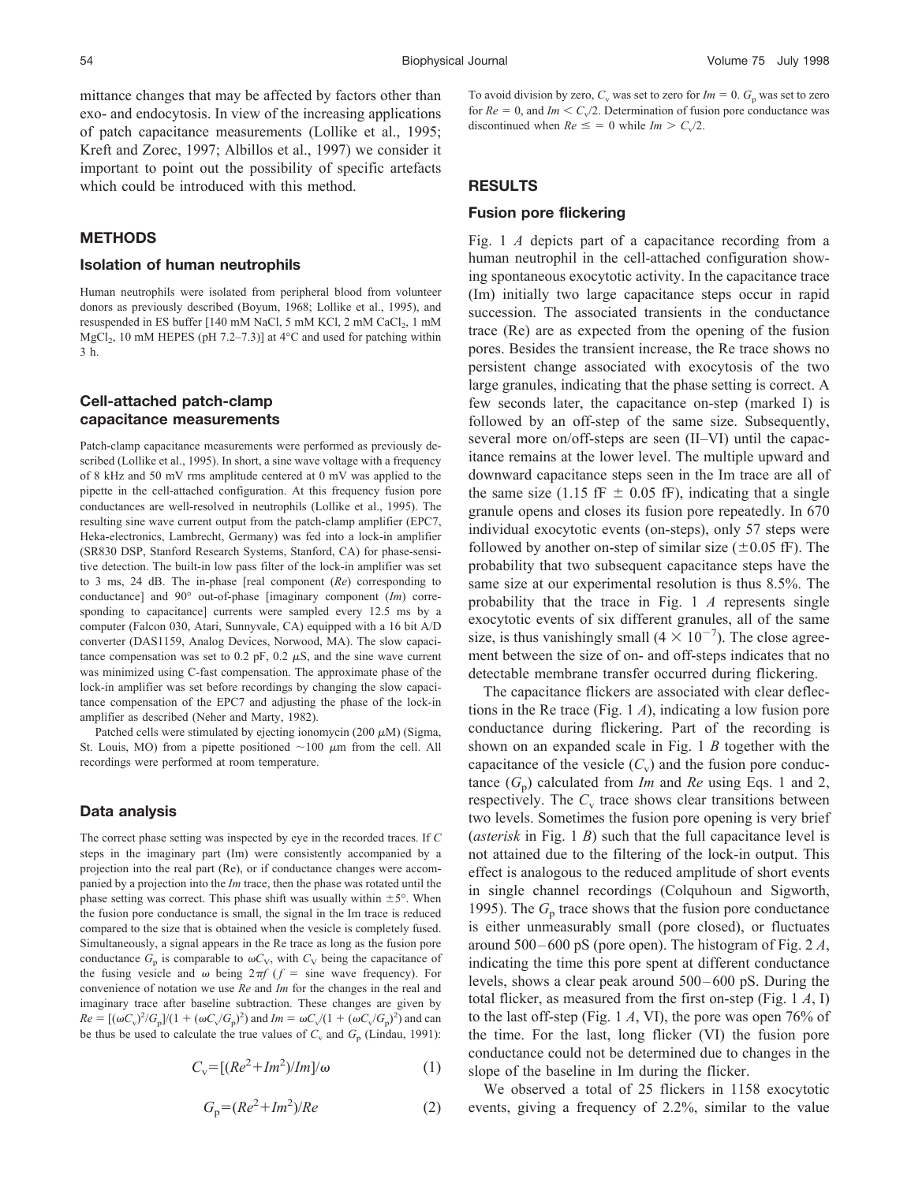mittance changes that may be affected by factors other than exo- and endocytosis. In view of the increasing applications of patch capacitance measurements (Lollike et al., 1995; Kreft and Zorec, 1997; Albillos et al., 1997) we consider it important to point out the possibility of specific artefacts which could be introduced with this method.

# **METHODS**

#### **Isolation of human neutrophils**

Human neutrophils were isolated from peripheral blood from volunteer donors as previously described (Boyum, 1968; Lollike et al., 1995), and resuspended in ES buffer [140 mM NaCl, 5 mM KCl, 2 mM CaCl<sub>2</sub>, 1 mM MgCl<sub>2</sub>, 10 mM HEPES (pH 7.2–7.3)] at 4 $\degree$ C and used for patching within 3 h.

# **Cell-attached patch-clamp capacitance measurements**

Patch-clamp capacitance measurements were performed as previously described (Lollike et al., 1995). In short, a sine wave voltage with a frequency of 8 kHz and 50 mV rms amplitude centered at 0 mV was applied to the pipette in the cell-attached configuration. At this frequency fusion pore conductances are well-resolved in neutrophils (Lollike et al., 1995). The resulting sine wave current output from the patch-clamp amplifier (EPC7, Heka-electronics, Lambrecht, Germany) was fed into a lock-in amplifier (SR830 DSP, Stanford Research Systems, Stanford, CA) for phase-sensitive detection. The built-in low pass filter of the lock-in amplifier was set to 3 ms, 24 dB. The in-phase [real component (*Re*) corresponding to conductance] and 90° out-of-phase [imaginary component (*Im*) corresponding to capacitance] currents were sampled every 12.5 ms by a computer (Falcon 030, Atari, Sunnyvale, CA) equipped with a 16 bit A/D converter (DAS1159, Analog Devices, Norwood, MA). The slow capacitance compensation was set to 0.2 pF, 0.2  $\mu$ S, and the sine wave current was minimized using C-fast compensation. The approximate phase of the lock-in amplifier was set before recordings by changing the slow capacitance compensation of the EPC7 and adjusting the phase of the lock-in amplifier as described (Neher and Marty, 1982).

Patched cells were stimulated by ejecting ionomycin (200  $\mu$ M) (Sigma, St. Louis, MO) from a pipette positioned  $\sim$ 100  $\mu$ m from the cell. All recordings were performed at room temperature.

## **Data analysis**

The correct phase setting was inspected by eye in the recorded traces. If *C* steps in the imaginary part (Im) were consistently accompanied by a projection into the real part (Re), or if conductance changes were accompanied by a projection into the *Im* trace, then the phase was rotated until the phase setting was correct. This phase shift was usually within  $\pm 5^{\circ}$ . When the fusion pore conductance is small, the signal in the Im trace is reduced compared to the size that is obtained when the vesicle is completely fused. Simultaneously, a signal appears in the Re trace as long as the fusion pore conductance  $G_p$  is comparable to  $\omega C_V$ , with  $C_V$  being the capacitance of the fusing vesicle and  $\omega$  being  $2\pi f$  ( $f =$  sine wave frequency). For convenience of notation we use *Re* and *Im* for the changes in the real and imaginary trace after baseline subtraction. These changes are given by  $Re = [(\omega C_v)^2 / G_p]/(1 + (\omega C_v / G_p)^2)$  and  $Im = \omega C_v / (1 + (\omega C_v / G_p)^2)$  and can be thus be used to calculate the true values of  $C_v$  and  $G_p$  (Lindau, 1991):

$$
C_{\rm v} = \left[ (Re^2 + Im^2)/Im \right] / \omega \tag{1}
$$

$$
G_p = (Re^2 + Im^2)/Re
$$
 (2)

To avoid division by zero,  $C_v$  was set to zero for  $Im = 0$ .  $G_p$  was set to zero for  $Re = 0$ , and  $Im \lt C_v/2$ . Determination of fusion pore conductance was discontinued when  $Re \leq 0$  while  $Im > C_v/2$ .

# **RESULTS**

## **Fusion pore flickering**

Fig. 1 *A* depicts part of a capacitance recording from a human neutrophil in the cell-attached configuration showing spontaneous exocytotic activity. In the capacitance trace (Im) initially two large capacitance steps occur in rapid succession. The associated transients in the conductance trace (Re) are as expected from the opening of the fusion pores. Besides the transient increase, the Re trace shows no persistent change associated with exocytosis of the two large granules, indicating that the phase setting is correct. A few seconds later, the capacitance on-step (marked I) is followed by an off-step of the same size. Subsequently, several more on/off-steps are seen (II–VI) until the capacitance remains at the lower level. The multiple upward and downward capacitance steps seen in the Im trace are all of the same size (1.15 fF  $\pm$  0.05 fF), indicating that a single granule opens and closes its fusion pore repeatedly. In 670 individual exocytotic events (on-steps), only 57 steps were followed by another on-step of similar size  $(\pm 0.05 \text{ fF})$ . The probability that two subsequent capacitance steps have the same size at our experimental resolution is thus 8.5%. The probability that the trace in Fig. 1 *A* represents single exocytotic events of six different granules, all of the same size, is thus vanishingly small  $(4 \times 10^{-7})$ . The close agreement between the size of on- and off-steps indicates that no detectable membrane transfer occurred during flickering.

The capacitance flickers are associated with clear deflections in the Re trace (Fig. 1 *A*), indicating a low fusion pore conductance during flickering. Part of the recording is shown on an expanded scale in Fig. 1 *B* together with the capacitance of the vesicle  $(C_v)$  and the fusion pore conductance  $(G_p)$  calculated from *Im* and *Re* using Eqs. 1 and 2, respectively. The  $C_v$  trace shows clear transitions between two levels. Sometimes the fusion pore opening is very brief (*asterisk* in Fig. 1 *B*) such that the full capacitance level is not attained due to the filtering of the lock-in output. This effect is analogous to the reduced amplitude of short events in single channel recordings (Colquhoun and Sigworth, 1995). The  $G_p$  trace shows that the fusion pore conductance is either unmeasurably small (pore closed), or fluctuates around 500 – 600 pS (pore open). The histogram of Fig. 2 *A*, indicating the time this pore spent at different conductance levels, shows a clear peak around 500 – 600 pS. During the total flicker, as measured from the first on-step (Fig. 1 *A*, I) to the last off-step (Fig. 1 *A*, VI), the pore was open 76% of the time. For the last, long flicker (VI) the fusion pore conductance could not be determined due to changes in the slope of the baseline in Im during the flicker.

We observed a total of 25 flickers in 1158 exocytotic events, giving a frequency of 2.2%, similar to the value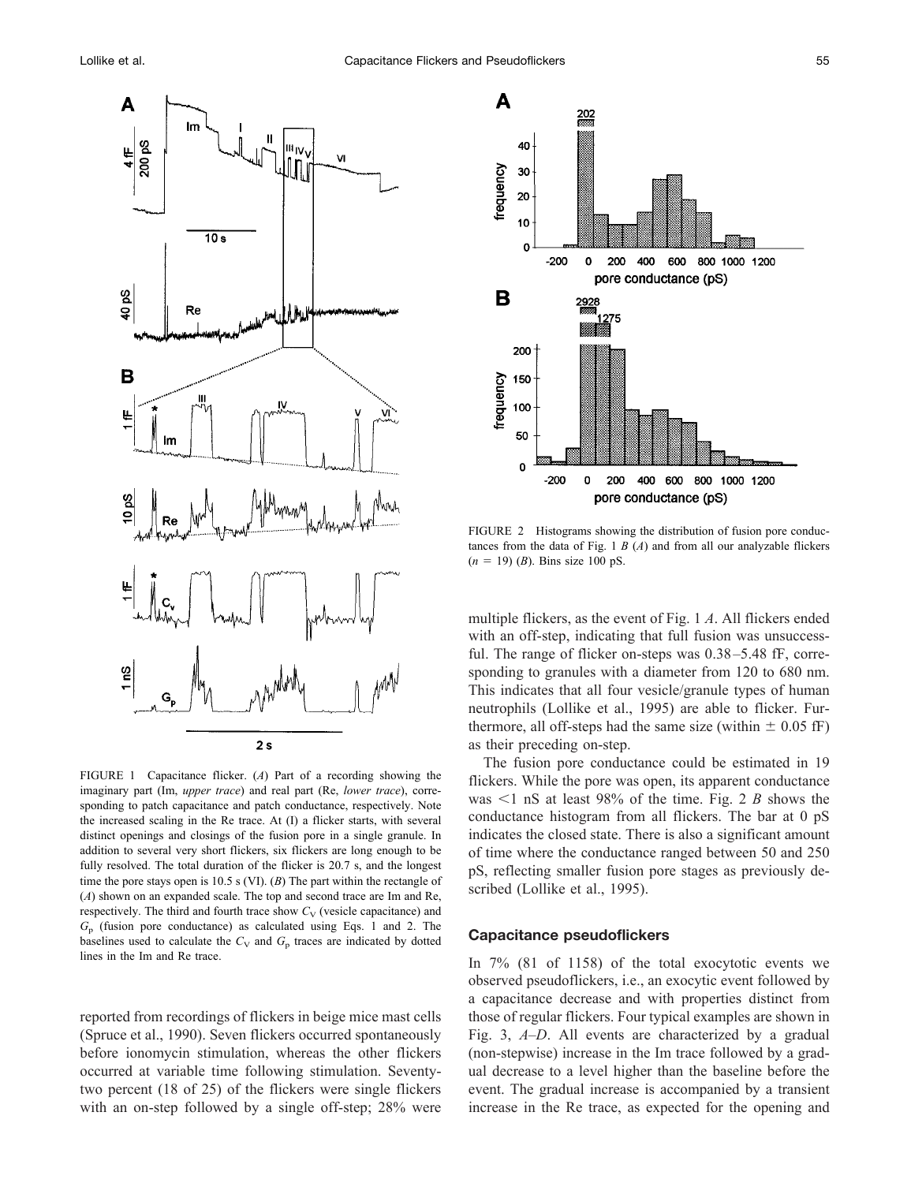

FIGURE 1 Capacitance flicker. (*A*) Part of a recording showing the imaginary part (Im, *upper trace*) and real part (Re, *lower trace*), corresponding to patch capacitance and patch conductance, respectively. Note the increased scaling in the Re trace. At (I) a flicker starts, with several distinct openings and closings of the fusion pore in a single granule. In addition to several very short flickers, six flickers are long enough to be fully resolved. The total duration of the flicker is 20.7 s, and the longest time the pore stays open is 10.5 s (VI). (*B*) The part within the rectangle of (*A*) shown on an expanded scale. The top and second trace are Im and Re, respectively. The third and fourth trace show  $C_V$  (vesicle capacitance) and *G*<sup>p</sup> (fusion pore conductance) as calculated using Eqs. 1 and 2. The baselines used to calculate the  $C_V$  and  $G_p$  traces are indicated by dotted lines in the Im and Re trace.

reported from recordings of flickers in beige mice mast cells (Spruce et al., 1990). Seven flickers occurred spontaneously before ionomycin stimulation, whereas the other flickers occurred at variable time following stimulation. Seventytwo percent (18 of 25) of the flickers were single flickers with an on-step followed by a single off-step; 28% were



FIGURE 2 Histograms showing the distribution of fusion pore conductances from the data of Fig. 1 *B* (*A*) and from all our analyzable flickers  $(n = 19)$  (*B*). Bins size 100 pS.

multiple flickers, as the event of Fig. 1 *A*. All flickers ended with an off-step, indicating that full fusion was unsuccessful. The range of flicker on-steps was  $0.38 - 5.48$  fF, corresponding to granules with a diameter from 120 to 680 nm. This indicates that all four vesicle/granule types of human neutrophils (Lollike et al., 1995) are able to flicker. Furthermore, all off-steps had the same size (within  $\pm$  0.05 fF) as their preceding on-step.

The fusion pore conductance could be estimated in 19 flickers. While the pore was open, its apparent conductance was  $\leq 1$  nS at least 98% of the time. Fig. 2 *B* shows the conductance histogram from all flickers. The bar at 0 pS indicates the closed state. There is also a significant amount of time where the conductance ranged between 50 and 250 pS, reflecting smaller fusion pore stages as previously described (Lollike et al., 1995).

## **Capacitance pseudoflickers**

In 7% (81 of 1158) of the total exocytotic events we observed pseudoflickers, i.e., an exocytic event followed by a capacitance decrease and with properties distinct from those of regular flickers. Four typical examples are shown in Fig. 3, *A–D*. All events are characterized by a gradual (non-stepwise) increase in the Im trace followed by a gradual decrease to a level higher than the baseline before the event. The gradual increase is accompanied by a transient increase in the Re trace, as expected for the opening and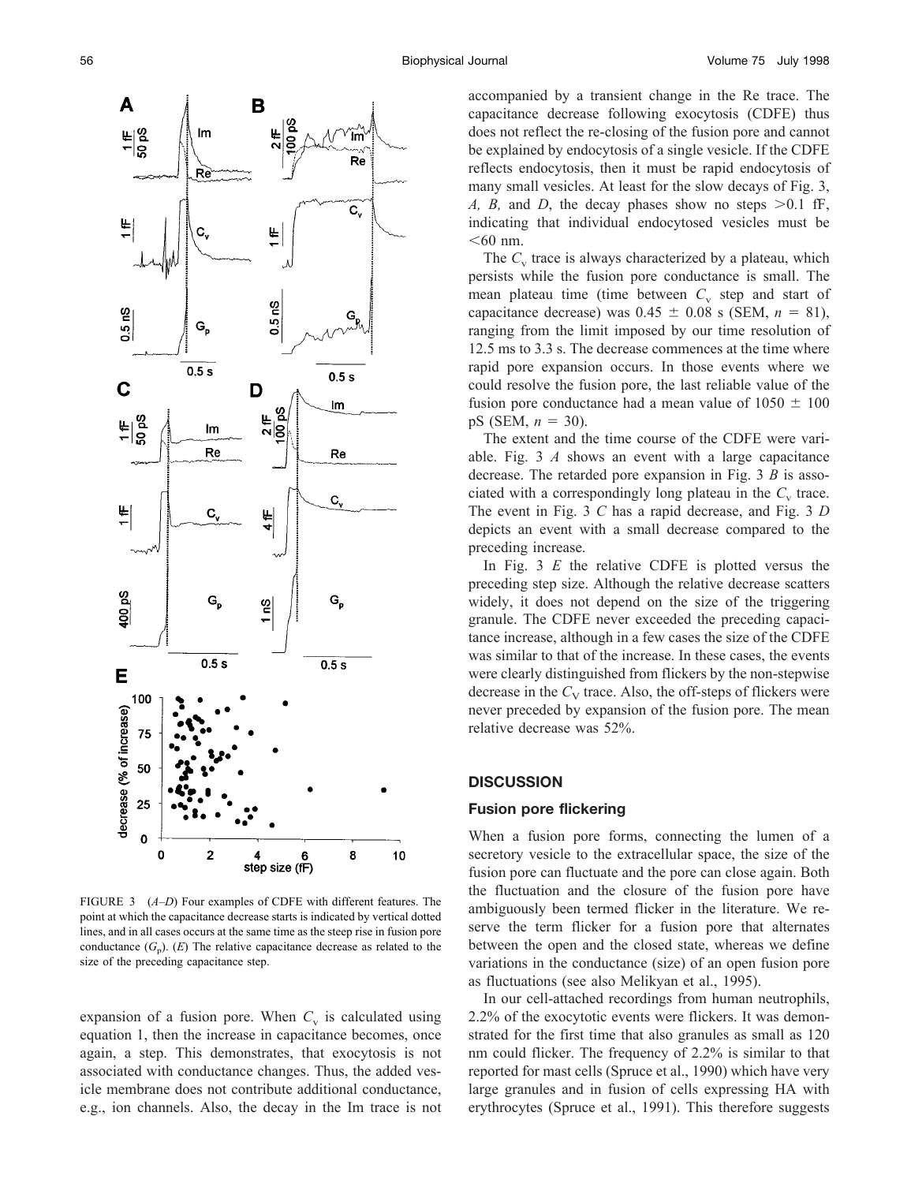

FIGURE 3 (*A–D*) Four examples of CDFE with different features. The point at which the capacitance decrease starts is indicated by vertical dotted lines, and in all cases occurs at the same time as the steep rise in fusion pore conductance  $(G_p)$ .  $(E)$  The relative capacitance decrease as related to the size of the preceding capacitance step.

expansion of a fusion pore. When  $C_v$  is calculated using equation 1, then the increase in capacitance becomes, once again, a step. This demonstrates, that exocytosis is not associated with conductance changes. Thus, the added vesicle membrane does not contribute additional conductance, e.g., ion channels. Also, the decay in the Im trace is not accompanied by a transient change in the Re trace. The capacitance decrease following exocytosis (CDFE) thus does not reflect the re-closing of the fusion pore and cannot be explained by endocytosis of a single vesicle. If the CDFE reflects endocytosis, then it must be rapid endocytosis of many small vesicles. At least for the slow decays of Fig. 3, *A, B,* and *D,* the decay phases show no steps  $>0.1$  fF, indicating that individual endocytosed vesicles must be  $<$ 60 nm.

The  $C_v$  trace is always characterized by a plateau, which persists while the fusion pore conductance is small. The mean plateau time (time between  $C_v$  step and start of capacitance decrease) was  $0.45 \pm 0.08$  s (SEM,  $n = 81$ ), ranging from the limit imposed by our time resolution of 12.5 ms to 3.3 s. The decrease commences at the time where rapid pore expansion occurs. In those events where we could resolve the fusion pore, the last reliable value of the fusion pore conductance had a mean value of  $1050 \pm 100$ pS (SEM,  $n = 30$ ).

The extent and the time course of the CDFE were variable. Fig. 3 *A* shows an event with a large capacitance decrease. The retarded pore expansion in Fig. 3 *B* is associated with a correspondingly long plateau in the  $C_v$  trace. The event in Fig. 3 *C* has a rapid decrease, and Fig. 3 *D* depicts an event with a small decrease compared to the preceding increase.

In Fig. 3 *E* the relative CDFE is plotted versus the preceding step size. Although the relative decrease scatters widely, it does not depend on the size of the triggering granule. The CDFE never exceeded the preceding capacitance increase, although in a few cases the size of the CDFE was similar to that of the increase. In these cases, the events were clearly distinguished from flickers by the non-stepwise decrease in the  $C_V$  trace. Also, the off-steps of flickers were never preceded by expansion of the fusion pore. The mean relative decrease was 52%.

# **DISCUSSION**

#### **Fusion pore flickering**

When a fusion pore forms, connecting the lumen of a secretory vesicle to the extracellular space, the size of the fusion pore can fluctuate and the pore can close again. Both the fluctuation and the closure of the fusion pore have ambiguously been termed flicker in the literature. We reserve the term flicker for a fusion pore that alternates between the open and the closed state, whereas we define variations in the conductance (size) of an open fusion pore as fluctuations (see also Melikyan et al., 1995).

In our cell-attached recordings from human neutrophils, 2.2% of the exocytotic events were flickers. It was demonstrated for the first time that also granules as small as 120 nm could flicker. The frequency of 2.2% is similar to that reported for mast cells (Spruce et al., 1990) which have very large granules and in fusion of cells expressing HA with erythrocytes (Spruce et al., 1991). This therefore suggests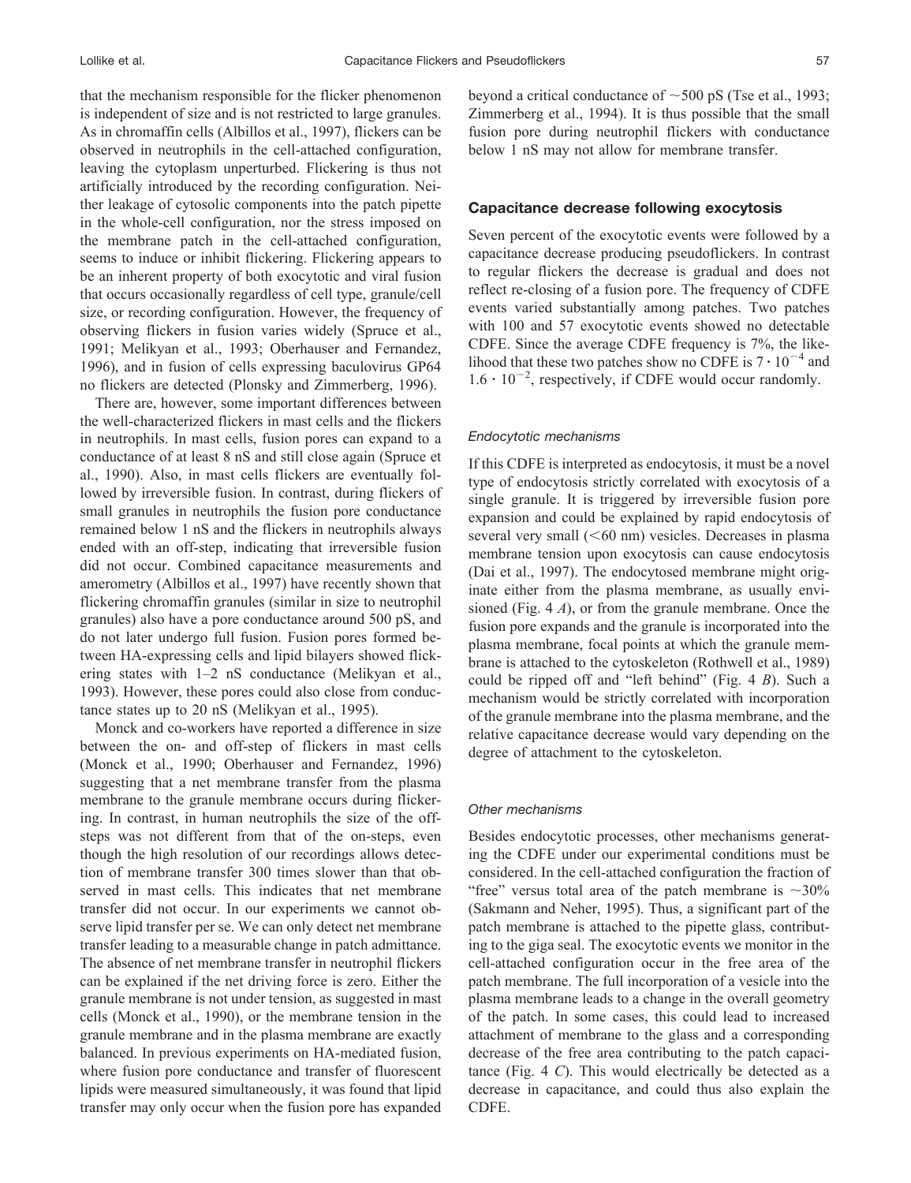that the mechanism responsible for the flicker phenomenon is independent of size and is not restricted to large granules. As in chromaffin cells (Albillos et al., 1997), flickers can be observed in neutrophils in the cell-attached configuration, leaving the cytoplasm unperturbed. Flickering is thus not artificially introduced by the recording configuration. Neither leakage of cytosolic components into the patch pipette in the whole-cell configuration, nor the stress imposed on the membrane patch in the cell-attached configuration, seems to induce or inhibit flickering. Flickering appears to be an inherent property of both exocytotic and viral fusion that occurs occasionally regardless of cell type, granule/cell size, or recording configuration. However, the frequency of observing flickers in fusion varies widely (Spruce et al., 1991; Melikyan et al., 1993; Oberhauser and Fernandez, 1996), and in fusion of cells expressing baculovirus GP64 no flickers are detected (Plonsky and Zimmerberg, 1996).

There are, however, some important differences between the well-characterized flickers in mast cells and the flickers in neutrophils. In mast cells, fusion pores can expand to a conductance of at least 8 nS and still close again (Spruce et al., 1990). Also, in mast cells flickers are eventually followed by irreversible fusion. In contrast, during flickers of small granules in neutrophils the fusion pore conductance remained below 1 nS and the flickers in neutrophils always ended with an off-step, indicating that irreversible fusion did not occur. Combined capacitance measurements and amerometry (Albillos et al., 1997) have recently shown that flickering chromaffin granules (similar in size to neutrophil granules) also have a pore conductance around 500 pS, and do not later undergo full fusion. Fusion pores formed between HA-expressing cells and lipid bilayers showed flickering states with 1–2 nS conductance (Melikyan et al., 1993). However, these pores could also close from conductance states up to 20 nS (Melikyan et al., 1995).

Monck and co-workers have reported a difference in size between the on- and off-step of flickers in mast cells (Monck et al., 1990; Oberhauser and Fernandez, 1996) suggesting that a net membrane transfer from the plasma membrane to the granule membrane occurs during flickering. In contrast, in human neutrophils the size of the offsteps was not different from that of the on-steps, even though the high resolution of our recordings allows detection of membrane transfer 300 times slower than that observed in mast cells. This indicates that net membrane transfer did not occur. In our experiments we cannot observe lipid transfer per se. We can only detect net membrane transfer leading to a measurable change in patch admittance. The absence of net membrane transfer in neutrophil flickers can be explained if the net driving force is zero. Either the granule membrane is not under tension, as suggested in mast cells (Monck et al., 1990), or the membrane tension in the granule membrane and in the plasma membrane are exactly balanced. In previous experiments on HA-mediated fusion, where fusion pore conductance and transfer of fluorescent lipids were measured simultaneously, it was found that lipid transfer may only occur when the fusion pore has expanded

beyond a critical conductance of  $\sim$  500 pS (Tse et al., 1993; Zimmerberg et al., 1994). It is thus possible that the small fusion pore during neutrophil flickers with conductance below 1 nS may not allow for membrane transfer.

## **Capacitance decrease following exocytosis**

Seven percent of the exocytotic events were followed by a capacitance decrease producing pseudoflickers. In contrast to regular flickers the decrease is gradual and does not reflect re-closing of a fusion pore. The frequency of CDFE events varied substantially among patches. Two patches with 100 and 57 exocytotic events showed no detectable CDFE. Since the average CDFE frequency is 7%, the likelihood that these two patches show no CDFE is  $7 \cdot 10^{-4}$  and  $1.6 \cdot 10^{-2}$ , respectively, if CDFE would occur randomly.

#### *Endocytotic mechanisms*

If this CDFE is interpreted as endocytosis, it must be a novel type of endocytosis strictly correlated with exocytosis of a single granule. It is triggered by irreversible fusion pore expansion and could be explained by rapid endocytosis of several very small  $( $60 \text{ nm}$ )$  vesicles. Decreases in plasma membrane tension upon exocytosis can cause endocytosis (Dai et al., 1997). The endocytosed membrane might originate either from the plasma membrane, as usually envisioned (Fig. 4 *A*), or from the granule membrane. Once the fusion pore expands and the granule is incorporated into the plasma membrane, focal points at which the granule membrane is attached to the cytoskeleton (Rothwell et al., 1989) could be ripped off and "left behind" (Fig. 4 *B*). Such a mechanism would be strictly correlated with incorporation of the granule membrane into the plasma membrane, and the relative capacitance decrease would vary depending on the degree of attachment to the cytoskeleton.

#### *Other mechanisms*

Besides endocytotic processes, other mechanisms generating the CDFE under our experimental conditions must be considered. In the cell-attached configuration the fraction of "free" versus total area of the patch membrane is  $\sim$ 30% (Sakmann and Neher, 1995). Thus, a significant part of the patch membrane is attached to the pipette glass, contributing to the giga seal. The exocytotic events we monitor in the cell-attached configuration occur in the free area of the patch membrane. The full incorporation of a vesicle into the plasma membrane leads to a change in the overall geometry of the patch. In some cases, this could lead to increased attachment of membrane to the glass and a corresponding decrease of the free area contributing to the patch capacitance (Fig. 4 *C*). This would electrically be detected as a decrease in capacitance, and could thus also explain the CDFE.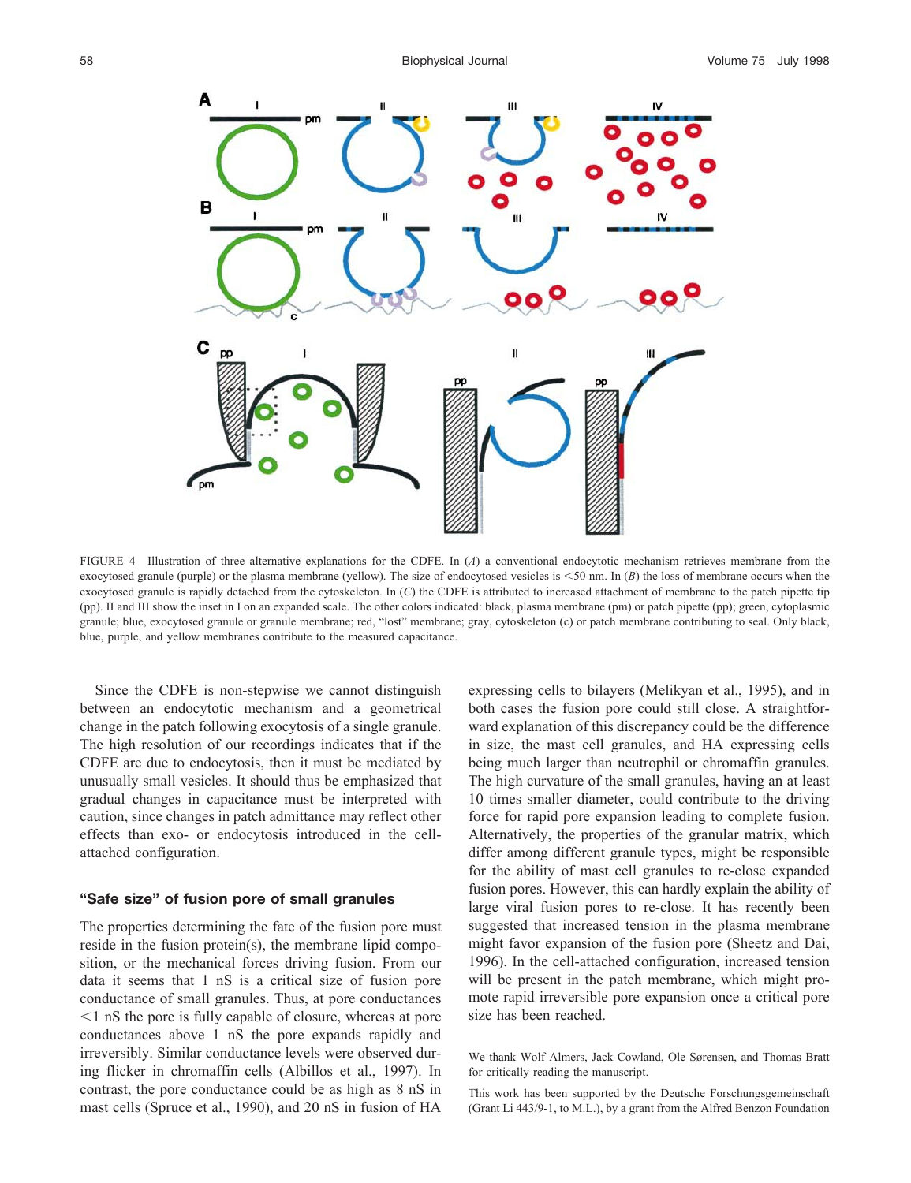

FIGURE 4 Illustration of three alternative explanations for the CDFE. In (*A*) a conventional endocytotic mechanism retrieves membrane from the exocytosed granule (purple) or the plasma membrane (yellow). The size of endocytosed vesicles is <50 nm. In (*B*) the loss of membrane occurs when the exocytosed granule is rapidly detached from the cytoskeleton. In (*C*) the CDFE is attributed to increased attachment of membrane to the patch pipette tip (pp). II and III show the inset in I on an expanded scale. The other colors indicated: black, plasma membrane (pm) or patch pipette (pp); green, cytoplasmic granule; blue, exocytosed granule or granule membrane; red, "lost" membrane; gray, cytoskeleton (c) or patch membrane contributing to seal. Only black, blue, purple, and yellow membranes contribute to the measured capacitance.

Since the CDFE is non-stepwise we cannot distinguish between an endocytotic mechanism and a geometrical change in the patch following exocytosis of a single granule. The high resolution of our recordings indicates that if the CDFE are due to endocytosis, then it must be mediated by unusually small vesicles. It should thus be emphasized that gradual changes in capacitance must be interpreted with caution, since changes in patch admittance may reflect other effects than exo- or endocytosis introduced in the cellattached configuration.

## **"Safe size" of fusion pore of small granules**

The properties determining the fate of the fusion pore must reside in the fusion protein(s), the membrane lipid composition, or the mechanical forces driving fusion. From our data it seems that 1 nS is a critical size of fusion pore conductance of small granules. Thus, at pore conductances  $1$  nS the pore is fully capable of closure, whereas at pore conductances above 1 nS the pore expands rapidly and irreversibly. Similar conductance levels were observed during flicker in chromaffin cells (Albillos et al., 1997). In contrast, the pore conductance could be as high as 8 nS in mast cells (Spruce et al., 1990), and 20 nS in fusion of HA

expressing cells to bilayers (Melikyan et al., 1995), and in both cases the fusion pore could still close. A straightforward explanation of this discrepancy could be the difference in size, the mast cell granules, and HA expressing cells being much larger than neutrophil or chromaffin granules. The high curvature of the small granules, having an at least 10 times smaller diameter, could contribute to the driving force for rapid pore expansion leading to complete fusion. Alternatively, the properties of the granular matrix, which differ among different granule types, might be responsible for the ability of mast cell granules to re-close expanded fusion pores. However, this can hardly explain the ability of large viral fusion pores to re-close. It has recently been suggested that increased tension in the plasma membrane might favor expansion of the fusion pore (Sheetz and Dai, 1996). In the cell-attached configuration, increased tension will be present in the patch membrane, which might promote rapid irreversible pore expansion once a critical pore size has been reached.

We thank Wolf Almers, Jack Cowland, Ole Sørensen, and Thomas Bratt for critically reading the manuscript.

This work has been supported by the Deutsche Forschungsgemeinschaft (Grant Li 443/9-1, to M.L.), by a grant from the Alfred Benzon Foundation